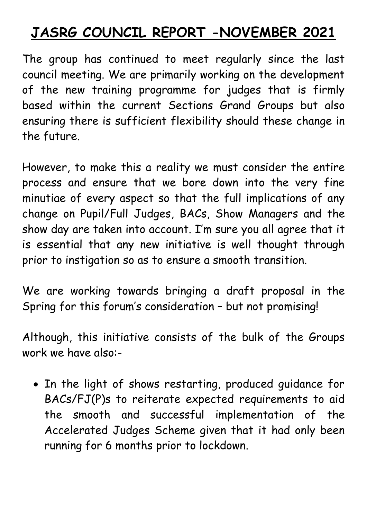## **JASRG COUNCIL REPORT -NOVEMBER 2021**

The group has continued to meet regularly since the last council meeting. We are primarily working on the development of the new training programme for judges that is firmly based within the current Sections Grand Groups but also ensuring there is sufficient flexibility should these change in the future.

However, to make this a reality we must consider the entire process and ensure that we bore down into the very fine minutiae of every aspect so that the full implications of any change on Pupil/Full Judges, BACs, Show Managers and the show day are taken into account. I'm sure you all agree that it is essential that any new initiative is well thought through prior to instigation so as to ensure a smooth transition.

We are working towards bringing a draft proposal in the Spring for this forum's consideration – but not promising!

Although, this initiative consists of the bulk of the Groups work we have also:-

 In the light of shows restarting, produced guidance for BACs/FJ(P)s to reiterate expected requirements to aid the smooth and successful implementation of the Accelerated Judges Scheme given that it had only been running for 6 months prior to lockdown.